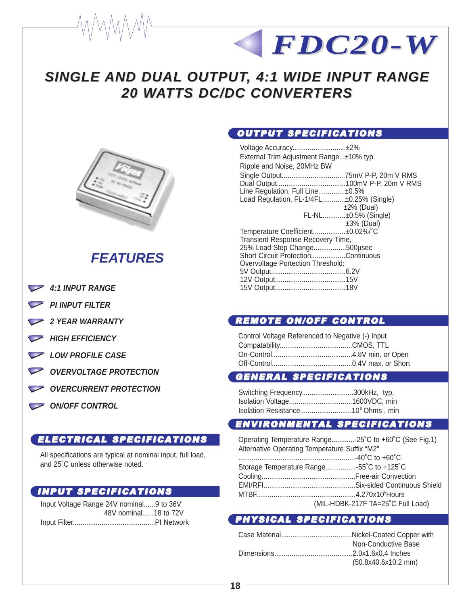# **SINGLE AND DUAL OUTPUT, 4:1 WIDE INPUT RANGE 20 WATTS DC/DC CONVERTERS**



## **FEATURES**

- 4:1 INPUT RANGE
- **PI INPUT FILTER**
- **2 YEAR WARRANTY**
- **HIGH EFFICIENCY**
- LOW PROFILE CASE
- **OVERVOLTAGE PROTECTION**
- **OVERCURRENT PROTECTION**
- **ON/OFF CONTROL**

#### ELECTRICAL SPECIFICATIONS

All specifications are typical at nominal input, full load, and 25˚C unless otherwise noted.

#### INPUT SPECIFICATIONS

Input Voltage Range 24V nominal......9 to 36V 48V nominal......18 to 72V Input Filter...........................................PI Network

#### OUTPUT SPECIFICATIONS

Voltage Accuracy............................±2% External Trim Adjustment Range...±10% typ. Ripple and Noise, 20MHz BW Single Output.................................75mV P-P, 20m V RMS Dual Output....................................100mV P-P, 20m V RMS Line Regulation, Full Line..............±0.5% Load Regulation, FL-1/4FL............±0.25% (Single) ±2% (Dual) FL-NL............±0.5% (Single) ±3% (Dual) Temperature Coefficient.................±0.02%/°C Transient Response Recovery Time, 25% Load Step Change.................500µsec Short Circuit Protection..................Continuous Overvoltage Portection Threshold: 5V Output.......................................6.2V 12V Output.....................................15V 15V Output.....................................18V

*FDC20-W FDC20-W*

#### REMOTE ON/OFF CONTROL

Control Voltage Referenced to Negative (-) Input Compatability......................................CMOS, TTL On-Control..........................................4.8V min. or Open Off-Control..........................................0.4V max. or Short

#### GENERAL SPECIFICATIONS

| Switching Frequency300kHz, typ. |  |
|---------------------------------|--|
|                                 |  |
|                                 |  |

### ENVIRONMENTAL SPECIFICATIONS

| Operating Temperature Range-25°C to +60°C (See Fig.1) |                                   |  |  |
|-------------------------------------------------------|-----------------------------------|--|--|
| Alternative Operating Temperature Suffix "M2"         |                                   |  |  |
|                                                       |                                   |  |  |
| Storage Temperature Range55°C to +125°C               |                                   |  |  |
|                                                       |                                   |  |  |
|                                                       |                                   |  |  |
|                                                       |                                   |  |  |
|                                                       | (MIL-HDBK-217F TA=25°C Full Load) |  |  |
|                                                       |                                   |  |  |

#### PHYSICAL SPECIFICATIONS

| Non-Conductive Base   |
|-----------------------|
|                       |
| $(50.8x40.6x10.2$ mm) |